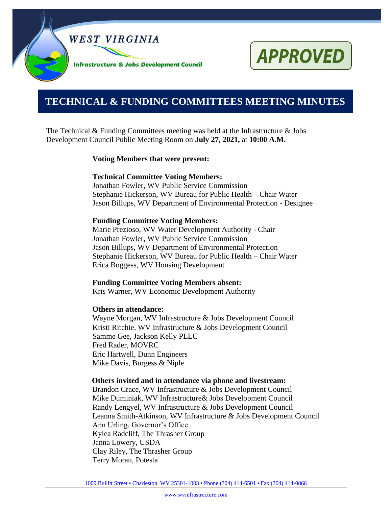

# **APPROVED**

# **0000000000000000000000000000000000000000000000000000. TECHNICAL & FUNDING COMMITTEES MEETING MINUTES**

The Technical & Funding Committees meeting was held at the Infrastructure & Jobs Development Council Public Meeting Room on **July 27, 2021,** at **10:00 A.M.**

# **Voting Members that were present:**

# **Technical Committee Voting Members:**

Jonathan Fowler, WV Public Service Commission Stephanie Hickerson, WV Bureau for Public Health – Chair Water Jason Billups, WV Department of Environmental Protection - Designee

# **Funding Committee Voting Members:**

Marie Prezioso, WV Water Development Authority - Chair Jonathan Fowler, WV Public Service Commission Jason Billups, WV Department of Environmental Protection Stephanie Hickerson, WV Bureau for Public Health – Chair Water Erica Boggess, WV Housing Development

# **Funding Committee Voting Members absent:**

Kris Warner, WV Economic Development Authority

# **Others in attendance:**

Wayne Morgan, WV Infrastructure & Jobs Development Council Kristi Ritchie, WV Infrastructure & Jobs Development Council Samme Gee, Jackson Kelly PLLC Fred Rader, MOVRC Eric Hartwell, Dunn Engineers Mike Davis, Burgess & Niple

# **Others invited and in attendance via phone and livestream:**

Brandon Crace, WV Infrastructure & Jobs Development Council Mike Duminiak, WV Infrastructure& Jobs Development Council Randy Lengyel, WV Infrastructure & Jobs Development Council Leanna Smith-Atkinson, WV Infrastructure & Jobs Development Council Ann Urling, Governor's Office Kylea Radcliff, The Thrasher Group Janna Lowery, USDA Clay Riley, The Thrasher Group Terry Moran, Potesta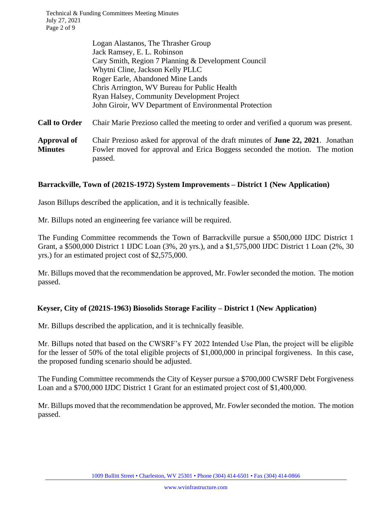Technical & Funding Committees Meeting Minutes July 27, 2021 Page 2 of 9

|                                      | Logan Alastanos, The Thrasher Group                                                                                                                                                 |
|--------------------------------------|-------------------------------------------------------------------------------------------------------------------------------------------------------------------------------------|
|                                      | Jack Ramsey, E. L. Robinson                                                                                                                                                         |
|                                      | Cary Smith, Region 7 Planning & Development Council                                                                                                                                 |
|                                      | Whytni Cline, Jackson Kelly PLLC                                                                                                                                                    |
|                                      | Roger Earle, Abandoned Mine Lands                                                                                                                                                   |
|                                      | Chris Arrington, WV Bureau for Public Health                                                                                                                                        |
|                                      | <b>Ryan Halsey, Community Development Project</b>                                                                                                                                   |
|                                      | John Giroir, WV Department of Environmental Protection                                                                                                                              |
| <b>Call to Order</b>                 | Chair Marie Prezioso called the meeting to order and verified a quorum was present.                                                                                                 |
| <b>Approval of</b><br><b>Minutes</b> | Chair Prezioso asked for approval of the draft minutes of <b>June 22, 2021</b> . Jonathan<br>Fowler moved for approval and Erica Boggess seconded the motion. The motion<br>passed. |
|                                      |                                                                                                                                                                                     |

#### **Barrackville, Town of (2021S-1972) System Improvements – District 1 (New Application)**

Jason Billups described the application, and it is technically feasible.

Mr. Billups noted an engineering fee variance will be required.

The Funding Committee recommends the Town of Barrackville pursue a \$500,000 IJDC District 1 Grant, a \$500,000 District 1 IJDC Loan (3%, 20 yrs.), and a \$1,575,000 IJDC District 1 Loan (2%, 30 yrs.) for an estimated project cost of \$2,575,000.

Mr. Billups moved that the recommendation be approved, Mr. Fowler seconded the motion. The motion passed.

# **Keyser, City of (2021S-1963) Biosolids Storage Facility – District 1 (New Application)**

Mr. Billups described the application, and it is technically feasible.

Mr. Billups noted that based on the CWSRF's FY 2022 Intended Use Plan, the project will be eligible for the lesser of 50% of the total eligible projects of \$1,000,000 in principal forgiveness. In this case, the proposed funding scenario should be adjusted.

The Funding Committee recommends the City of Keyser pursue a \$700,000 CWSRF Debt Forgiveness Loan and a \$700,000 IJDC District 1 Grant for an estimated project cost of \$1,400,000.

Mr. Billups moved that the recommendation be approved, Mr. Fowler seconded the motion. The motion passed.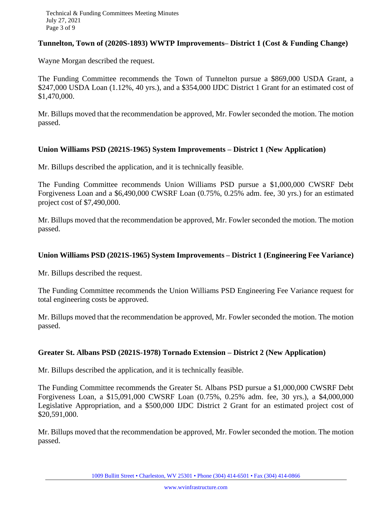# **Tunnelton, Town of (2020S-1893) WWTP Improvements– District 1 (Cost & Funding Change)**

Wayne Morgan described the request.

The Funding Committee recommends the Town of Tunnelton pursue a \$869,000 USDA Grant, a \$247,000 USDA Loan (1.12%, 40 yrs.), and a \$354,000 IJDC District 1 Grant for an estimated cost of \$1,470,000.

Mr. Billups moved that the recommendation be approved, Mr. Fowler seconded the motion. The motion passed.

# **Union Williams PSD (2021S-1965) System Improvements – District 1 (New Application)**

Mr. Billups described the application, and it is technically feasible.

The Funding Committee recommends Union Williams PSD pursue a \$1,000,000 CWSRF Debt Forgiveness Loan and a \$6,490,000 CWSRF Loan (0.75%, 0.25% adm. fee, 30 yrs.) for an estimated project cost of \$7,490,000.

Mr. Billups moved that the recommendation be approved, Mr. Fowler seconded the motion. The motion passed.

# **Union Williams PSD (2021S-1965) System Improvements – District 1 (Engineering Fee Variance)**

Mr. Billups described the request.

The Funding Committee recommends the Union Williams PSD Engineering Fee Variance request for total engineering costs be approved.

Mr. Billups moved that the recommendation be approved, Mr. Fowler seconded the motion. The motion passed.

# **Greater St. Albans PSD (2021S-1978) Tornado Extension – District 2 (New Application)**

Mr. Billups described the application, and it is technically feasible.

The Funding Committee recommends the Greater St. Albans PSD pursue a \$1,000,000 CWSRF Debt Forgiveness Loan, a \$15,091,000 CWSRF Loan (0.75%, 0.25% adm. fee, 30 yrs.), a \$4,000,000 Legislative Appropriation, and a \$500,000 IJDC District 2 Grant for an estimated project cost of \$20,591,000.

Mr. Billups moved that the recommendation be approved, Mr. Fowler seconded the motion. The motion passed.

1009 Bullitt Street • Charleston, WV 25301 • Phone (304) 414-6501 • Fax (304) 414-0866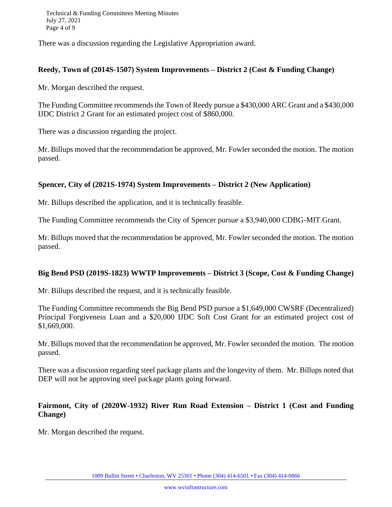Technical & Funding Committees Meeting Minutes July 27, 2021 Page 4 of 9

There was a discussion regarding the Legislative Appropriation award.

#### **Reedy, Town of (2014S-1507) System Improvements – District 2 (Cost & Funding Change)**

Mr. Morgan described the request.

The Funding Committee recommends the Town of Reedy pursue a \$430,000 ARC Grant and a \$430,000 IJDC District 2 Grant for an estimated project cost of \$860,000.

There was a discussion regarding the project.

Mr. Billups moved that the recommendation be approved, Mr. Fowler seconded the motion. The motion passed.

# **Spencer, City of (2021S-1974) System Improvements – District 2 (New Application)**

Mr. Billups described the application, and it is technically feasible.

The Funding Committee recommends the City of Spencer pursue a \$3,940,000 CDBG-MIT Grant.

Mr. Billups moved that the recommendation be approved, Mr. Fowler seconded the motion. The motion passed.

#### **Big Bend PSD (2019S-1823) WWTP Improvements – District 3 (Scope, Cost & Funding Change)**

Mr. Billups described the request, and it is technically feasible.

The Funding Committee recommends the Big Bend PSD pursue a \$1,649,000 CWSRF (Decentralized) Principal Forgiveness Loan and a \$20,000 IJDC Soft Cost Grant for an estimated project cost of \$1,669,000.

Mr. Billups moved that the recommendation be approved, Mr. Fowler seconded the motion. The motion passed.

There was a discussion regarding steel package plants and the longevity of them. Mr. Billups noted that DEP will not be approving steel package plants going forward.

# **Fairmont, City of (2020W-1932) River Run Road Extension – District 1 (Cost and Funding Change)**

Mr. Morgan described the request.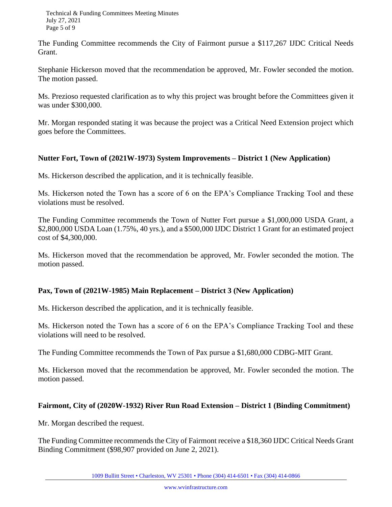The Funding Committee recommends the City of Fairmont pursue a \$117,267 IJDC Critical Needs Grant.

Stephanie Hickerson moved that the recommendation be approved, Mr. Fowler seconded the motion. The motion passed.

Ms. Prezioso requested clarification as to why this project was brought before the Committees given it was under \$300,000.

Mr. Morgan responded stating it was because the project was a Critical Need Extension project which goes before the Committees.

# **Nutter Fort, Town of (2021W-1973) System Improvements – District 1 (New Application)**

Ms. Hickerson described the application, and it is technically feasible.

Ms. Hickerson noted the Town has a score of 6 on the EPA's Compliance Tracking Tool and these violations must be resolved.

The Funding Committee recommends the Town of Nutter Fort pursue a \$1,000,000 USDA Grant, a \$2,800,000 USDA Loan (1.75%, 40 yrs.), and a \$500,000 IJDC District 1 Grant for an estimated project cost of \$4,300,000.

Ms. Hickerson moved that the recommendation be approved, Mr. Fowler seconded the motion. The motion passed.

# **Pax, Town of (2021W-1985) Main Replacement – District 3 (New Application)**

Ms. Hickerson described the application, and it is technically feasible.

Ms. Hickerson noted the Town has a score of 6 on the EPA's Compliance Tracking Tool and these violations will need to be resolved.

The Funding Committee recommends the Town of Pax pursue a \$1,680,000 CDBG-MIT Grant.

Ms. Hickerson moved that the recommendation be approved, Mr. Fowler seconded the motion. The motion passed.

# **Fairmont, City of (2020W-1932) River Run Road Extension – District 1 (Binding Commitment)**

Mr. Morgan described the request.

The Funding Committee recommends the City of Fairmont receive a \$18,360 IJDC Critical Needs Grant Binding Commitment (\$98,907 provided on June 2, 2021).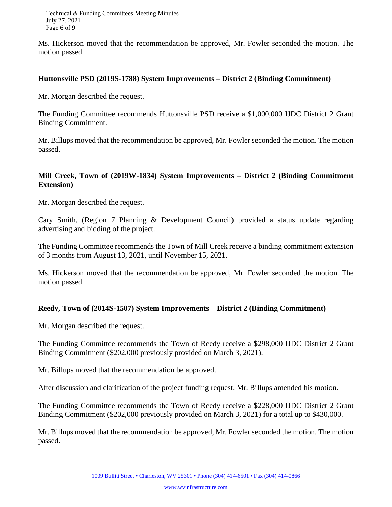Technical & Funding Committees Meeting Minutes July 27, 2021 Page 6 of 9

Ms. Hickerson moved that the recommendation be approved, Mr. Fowler seconded the motion. The motion passed.

#### **Huttonsville PSD (2019S-1788) System Improvements – District 2 (Binding Commitment)**

Mr. Morgan described the request.

The Funding Committee recommends Huttonsville PSD receive a \$1,000,000 IJDC District 2 Grant Binding Commitment.

Mr. Billups moved that the recommendation be approved, Mr. Fowler seconded the motion. The motion passed.

# **Mill Creek, Town of (2019W-1834) System Improvements – District 2 (Binding Commitment Extension)**

Mr. Morgan described the request.

Cary Smith, (Region 7 Planning & Development Council) provided a status update regarding advertising and bidding of the project.

The Funding Committee recommends the Town of Mill Creek receive a binding commitment extension of 3 months from August 13, 2021, until November 15, 2021.

Ms. Hickerson moved that the recommendation be approved, Mr. Fowler seconded the motion. The motion passed.

# **Reedy, Town of (2014S-1507) System Improvements – District 2 (Binding Commitment)**

Mr. Morgan described the request.

The Funding Committee recommends the Town of Reedy receive a \$298,000 IJDC District 2 Grant Binding Commitment (\$202,000 previously provided on March 3, 2021).

Mr. Billups moved that the recommendation be approved.

After discussion and clarification of the project funding request, Mr. Billups amended his motion.

The Funding Committee recommends the Town of Reedy receive a \$228,000 IJDC District 2 Grant Binding Commitment (\$202,000 previously provided on March 3, 2021) for a total up to \$430,000.

Mr. Billups moved that the recommendation be approved, Mr. Fowler seconded the motion. The motion passed.

1009 Bullitt Street • Charleston, WV 25301 • Phone (304) 414-6501 • Fax (304) 414-0866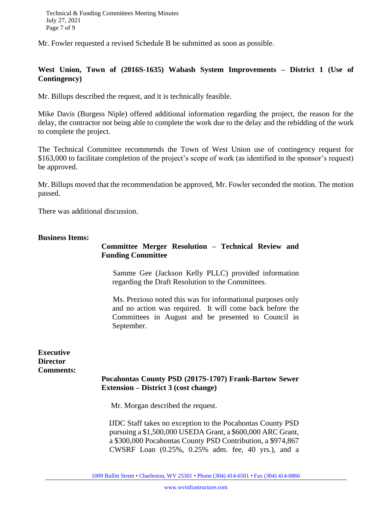Mr. Fowler requested a revised Schedule B be submitted as soon as possible.

# **West Union, Town of (2016S-1635) Wabash System Improvements – District 1 (Use of Contingency)**

Mr. Billups described the request, and it is technically feasible.

Mike Davis (Burgess Niple) offered additional information regarding the project, the reason for the delay, the contractor not being able to complete the work due to the delay and the rebidding of the work to complete the project.

The Technical Committee recommends the Town of West Union use of contingency request for \$163,000 to facilitate completion of the project's scope of work (as identified in the sponsor's request) be approved.

Mr. Billups moved that the recommendation be approved, Mr. Fowler seconded the motion. The motion passed.

There was additional discussion.

#### **Business Items:**

# **Committee Merger Resolution – Technical Review and Funding Committee**

 Samme Gee (Jackson Kelly PLLC) provided information regarding the Draft Resolution to the Committees.

 Ms. Prezioso noted this was for informational purposes only and no action was required. It will come back before the Committees in August and be presented to Council in September.

**Executive Director Comments:**

# **Pocahontas County PSD (2017S-1707) Frank-Bartow Sewer Extension – District 3 (cost change)**

Mr. Morgan described the request.

 IJDC Staff takes no exception to the Pocahontas County PSD pursuing a \$1,500,000 USEDA Grant, a \$600,000 ARC Grant, a \$300,000 Pocahontas County PSD Contribution, a \$974,867 CWSRF Loan (0.25%, 0.25% adm. fee, 40 yrs.), and a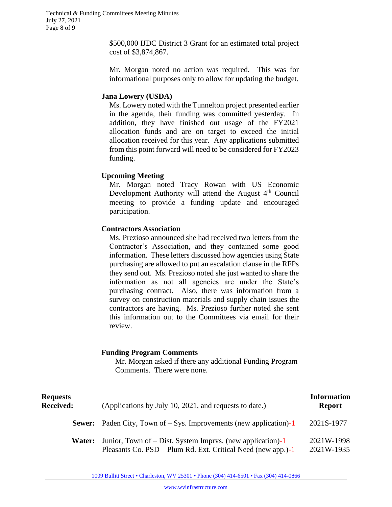\$500,000 IJDC District 3 Grant for an estimated total project cost of \$3,874,867.

Mr. Morgan noted no action was required. This was for informational purposes only to allow for updating the budget.

#### **Jana Lowery (USDA)**

Ms. Lowery noted with the Tunnelton project presented earlier in the agenda, their funding was committed yesterday. In addition, they have finished out usage of the FY2021 allocation funds and are on target to exceed the initial allocation received for this year. Any applications submitted from this point forward will need to be considered for FY2023 funding.

# **Upcoming Meeting**

Mr. Morgan noted Tracy Rowan with US Economic Development Authority will attend the August  $4<sup>th</sup>$  Council meeting to provide a funding update and encouraged participation.

# **Contractors Association**

 Ms. Prezioso announced she had received two letters from the Contractor's Association, and they contained some good information. These letters discussed how agencies using State purchasing are allowed to put an escalation clause in the RFPs they send out. Ms. Prezioso noted she just wanted to share the information as not all agencies are under the State's purchasing contract. Also, there was information from a survey on construction materials and supply chain issues the contractors are having. Ms. Prezioso further noted she sent this information out to the Committees via email for their review.

# **Funding Program Comments**

Mr. Morgan asked if there any additional Funding Program Comments. There were none.

| <b>Requests</b><br><b>Received:</b> | (Applications by July 10, 2021, and requests to date.)                                                                     | <b>Information</b><br><b>Report</b> |
|-------------------------------------|----------------------------------------------------------------------------------------------------------------------------|-------------------------------------|
| Sewer:                              | Paden City, Town of $-$ Sys. Improvements (new application)-1                                                              | 2021S-1977                          |
| Water:                              | Junior, Town of – Dist. System Imprys. (new application)-1<br>Pleasants Co. PSD – Plum Rd. Ext. Critical Need (new app.)-1 | 2021W-1998<br>2021W-1935            |